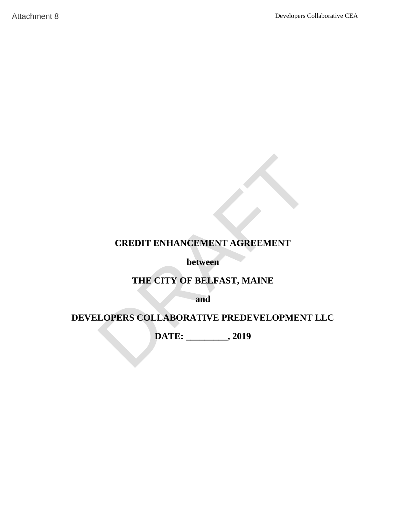# **CREDIT ENHANCEMENT AGREEMENT**

**between**

# **THE CITY OF BELFAST, MAINE**

**and**

# **DEVELOPERS COLLABORATIVE PREDEVELOPMENT LLC** DRAFTAttachment 8

**DATE: \_\_\_\_\_\_\_\_\_, 2019**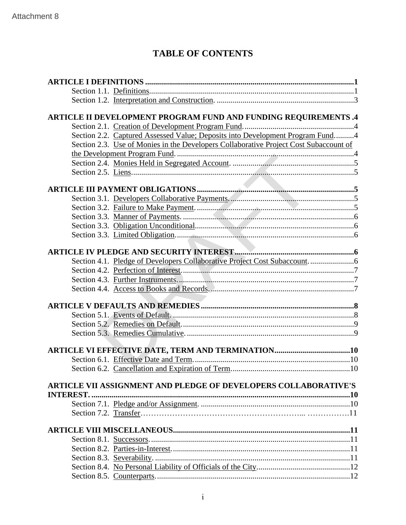# **TABLE OF CONTENTS**

| Section 2.2. Captured Assessed Value; Deposits into Development Program Fund4         |                                                                                                                                                                                                               |
|---------------------------------------------------------------------------------------|---------------------------------------------------------------------------------------------------------------------------------------------------------------------------------------------------------------|
| Section 2.3. Use of Monies in the Developers Collaborative Project Cost Subaccount of |                                                                                                                                                                                                               |
|                                                                                       |                                                                                                                                                                                                               |
|                                                                                       |                                                                                                                                                                                                               |
|                                                                                       |                                                                                                                                                                                                               |
|                                                                                       |                                                                                                                                                                                                               |
|                                                                                       |                                                                                                                                                                                                               |
|                                                                                       |                                                                                                                                                                                                               |
|                                                                                       |                                                                                                                                                                                                               |
|                                                                                       |                                                                                                                                                                                                               |
|                                                                                       |                                                                                                                                                                                                               |
|                                                                                       |                                                                                                                                                                                                               |
|                                                                                       |                                                                                                                                                                                                               |
|                                                                                       |                                                                                                                                                                                                               |
|                                                                                       |                                                                                                                                                                                                               |
|                                                                                       |                                                                                                                                                                                                               |
|                                                                                       |                                                                                                                                                                                                               |
|                                                                                       |                                                                                                                                                                                                               |
|                                                                                       |                                                                                                                                                                                                               |
|                                                                                       |                                                                                                                                                                                                               |
|                                                                                       |                                                                                                                                                                                                               |
|                                                                                       |                                                                                                                                                                                                               |
|                                                                                       |                                                                                                                                                                                                               |
|                                                                                       | ARTICLE II DEVELOPMENT PROGRAM FUND AND FUNDING REQUIREMENTS .4<br>Section 4.1. Pledge of Developers Collaborative Project Cost Subaccount<br>ARTICLE VII ASSIGNMENT AND PLEDGE OF DEVELOPERS COLLABORATIVE'S |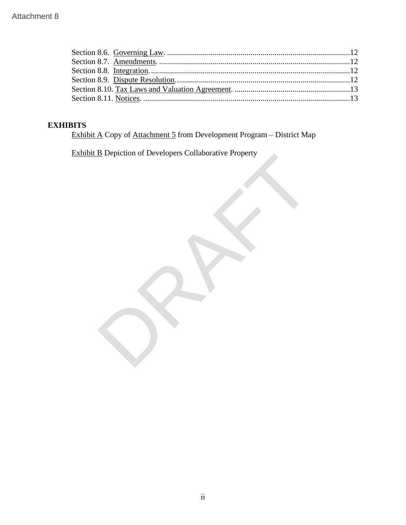| Attachment 8    |                                                                               |  |
|-----------------|-------------------------------------------------------------------------------|--|
|                 |                                                                               |  |
| <b>EXHIBITS</b> | <b>Exhibit A Copy of Attachment 5 from Development Program - District Map</b> |  |
|                 | <b>Exhibit B</b> Depiction of Developers Collaborative Property               |  |
|                 |                                                                               |  |

# **EXHIBITS**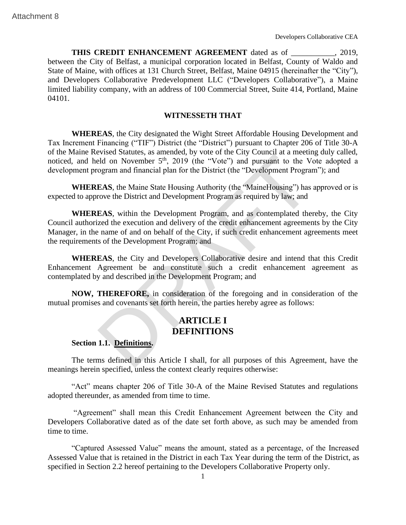**THIS CREDIT ENHANCEMENT AGREEMENT** dated as of \_\_\_\_\_\_\_\_\_\_\_, 2019, between the City of Belfast, a municipal corporation located in Belfast, County of Waldo and State of Maine, with offices at 131 Church Street, Belfast, Maine 04915 (hereinafter the "City"), and Developers Collaborative Predevelopment LLC ("Developers Collaborative"), a Maine limited liability company, with an address of 100 Commercial Street, Suite 414, Portland, Maine 04101. THIS CREDIT ENHANCEMENT AGREEMENT doesnesses and the comparison of the set of the set of the set of the set of the set of the set of the set of the set of the set of the set of the set of the set of the set of the set of t

# **WITNESSETH THAT**

**WHEREAS**, the City designated the Wight Street Affordable Housing Development and Tax Increment Financing ("TIF") District (the "District") pursuant to Chapter 206 of Title 30-A of the Maine Revised Statutes, as amended, by vote of the City Council at a meeting duly called, noticed, and held on November  $5<sup>th</sup>$ , 2019 (the "Vote") and pursuant to the Vote adopted a development program and financial plan for the District (the "Development Program"); and

**WHEREAS**, the Maine State Housing Authority (the "MaineHousing") has approved or is expected to approve the District and Development Program as required by law; and

**WHEREAS**, within the Development Program, and as contemplated thereby, the City Council authorized the execution and delivery of the credit enhancement agreements by the City Manager, in the name of and on behalf of the City, if such credit enhancement agreements meet the requirements of the Development Program; and

**WHEREAS**, the City and Developers Collaborative desire and intend that this Credit Enhancement Agreement be and constitute such a credit enhancement agreement as contemplated by and described in the Development Program; and

**NOW, THEREFORE,** in consideration of the foregoing and in consideration of the mutual promises and covenants set forth herein, the parties hereby agree as follows:

# **ARTICLE I DEFINITIONS**

# **Section 1.1. Definitions.**

The terms defined in this Article I shall, for all purposes of this Agreement, have the meanings herein specified, unless the context clearly requires otherwise:

"Act" means chapter 206 of Title 30-A of the Maine Revised Statutes and regulations adopted thereunder, as amended from time to time.

"Agreement" shall mean this Credit Enhancement Agreement between the City and Developers Collaborative dated as of the date set forth above, as such may be amended from time to time.

"Captured Assessed Value" means the amount, stated as a percentage, of the Increased Assessed Value that is retained in the District in each Tax Year during the term of the District, as specified in Section 2.2 hereof pertaining to the Developers Collaborative Property only.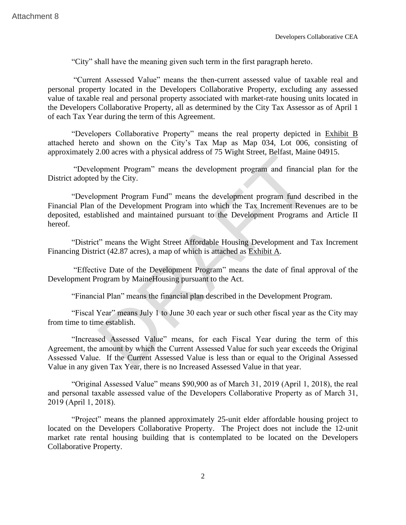"City" shall have the meaning given such term in the first paragraph hereto.

"Current Assessed Value" means the then-current assessed value of taxable real and personal property located in the Developers Collaborative Property, excluding any assessed value of taxable real and personal property associated with market-rate housing units located in the Developers Collaborative Property, all as determined by the City Tax Assessor as of April 1 of each Tax Year during the term of this Agreement. Developes Conservative City" shall have the meaning given such term in the first paragraph hereoform (Courrent Assessed Value" means the then-current assessed value of users (Collection and the procedure in the Developers

"Developers Collaborative Property" means the real property depicted in Exhibit B attached hereto and shown on the City's Tax Map as Map 034, Lot 006, consisting of approximately 2.00 acres with a physical address of 75 Wight Street, Belfast, Maine 04915.

"Development Program" means the development program and financial plan for the District adopted by the City.

"Development Program Fund" means the development program fund described in the Financial Plan of the Development Program into which the Tax Increment Revenues are to be deposited, established and maintained pursuant to the Development Programs and Article II hereof.

"District" means the Wight Street Affordable Housing Development and Tax Increment Financing District (42.87 acres), a map of which is attached as Exhibit A.

"Effective Date of the Development Program" means the date of final approval of the Development Program by MaineHousing pursuant to the Act.

"Financial Plan" means the financial plan described in the Development Program.

"Fiscal Year" means July 1 to June 30 each year or such other fiscal year as the City may from time to time establish.

"Increased Assessed Value" means, for each Fiscal Year during the term of this Agreement, the amount by which the Current Assessed Value for such year exceeds the Original Assessed Value. If the Current Assessed Value is less than or equal to the Original Assessed Value in any given Tax Year, there is no Increased Assessed Value in that year.

"Original Assessed Value" means \$90,900 as of March 31, 2019 (April 1, 2018), the real and personal taxable assessed value of the Developers Collaborative Property as of March 31, 2019 (April 1, 2018).

"Project" means the planned approximately 25-unit elder affordable housing project to located on the Developers Collaborative Property. The Project does not include the 12-unit market rate rental housing building that is contemplated to be located on the Developers Collaborative Property.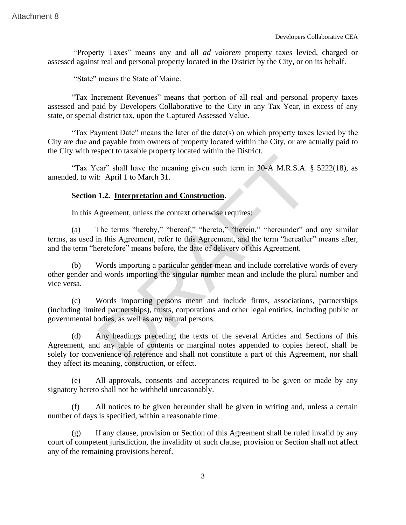"Property Taxes" means any and all *ad valorem* property taxes levied, charged or assessed against real and personal property located in the District by the City, or on its behalf.

"State" means the State of Maine.

"Tax Increment Revenues" means that portion of all real and personal property taxes assessed and paid by Developers Collaborative to the City in any Tax Year, in excess of any state, or special district tax, upon the Captured Assessed Value.

"Tax Payment Date" means the later of the date(s) on which property taxes levied by the City are due and payable from owners of property located within the City, or are actually paid to the City with respect to taxable property located within the District.

"Tax Year" shall have the meaning given such term in 30-A M.R.S.A. § 5222(18), as amended, to wit: April 1 to March 31.

### **Section 1.2. Interpretation and Construction.**

In this Agreement, unless the context otherwise requires:

(a) The terms "hereby," "hereof," "hereto," "herein," "hereunder" and any similar terms, as used in this Agreement, refer to this Agreement, and the term "hereafter" means after, and the term "heretofore" means before, the date of delivery of this Agreement.

(b) Words importing a particular gender mean and include correlative words of every other gender and words importing the singular number mean and include the plural number and vice versa.

(c) Words importing persons mean and include firms, associations, partnerships (including limited partnerships), trusts, corporations and other legal entities, including public or governmental bodies, as well as any natural persons.

(d) Any headings preceding the texts of the several Articles and Sections of this Agreement, and any table of contents or marginal notes appended to copies hereof, shall be solely for convenience of reference and shall not constitute a part of this Agreement, nor shall they affect its meaning, construction, or effect. The selection and all ad valority property Taxes" means any and all ad valorem property taxes levies<br>assessed against real and personal property located in the District by the City, or on<br>
"Tax Increment Revenues" means t

(e) All approvals, consents and acceptances required to be given or made by any signatory hereto shall not be withheld unreasonably.

(f) All notices to be given hereunder shall be given in writing and, unless a certain number of days is specified, within a reasonable time.

(g) If any clause, provision or Section of this Agreement shall be ruled invalid by any court of competent jurisdiction, the invalidity of such clause, provision or Section shall not affect any of the remaining provisions hereof.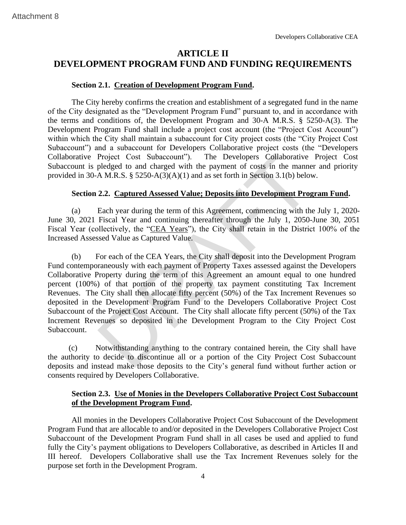# **ARTICLE II DEVELOPMENT PROGRAM FUND AND FUNDING REQUIREMENTS**

# **Section 2.1. Creation of Development Program Fund.**

The City hereby confirms the creation and establishment of a segregated fund in the name of the City designated as the "Development Program Fund" pursuant to, and in accordance with the terms and conditions of, the Development Program and 30-A M.R.S. § 5250-A(3). The Development Program Fund shall include a project cost account (the "Project Cost Account") within which the City shall maintain a subaccount for City project costs (the "City Project Cost Subaccount") and a subaccount for Developers Collaborative project costs (the "Developers Collaborative Project Cost Subaccount"). The Developers Collaborative Project Cost Subaccount is pledged to and charged with the payment of costs in the manner and priority provided in 30-A M.R.S. § 5250-A(3)(A)(1) and as set forth in Section 3.1(b) below. **EXECUTE THE SECTUAL CONSULTERED**<br> **EXECUTE THE SECTUAL CONSULTEREM TRIME INTERENT PROGRAM FUND AND FUNDING REQUIR**<br> **Section 2.1. <u>Creation of Development Program Fund</u><br>
The City designated as the "Development Program Fu** 

# **Section 2.2. Captured Assessed Value; Deposits into Development Program Fund.**

(a) Each year during the term of this Agreement, commencing with the July 1, 2020- June 30, 2021 Fiscal Year and continuing thereafter through the July 1, 2050-June 30, 2051 Fiscal Year (collectively, the "CEA Years"), the City shall retain in the District 100% of the Increased Assessed Value as Captured Value.

(b) For each of the CEA Years, the City shall deposit into the Development Program Fund contemporaneously with each payment of Property Taxes assessed against the Developers Collaborative Property during the term of this Agreement an amount equal to one hundred percent (100%) of that portion of the property tax payment constituting Tax Increment Revenues. The City shall then allocate fifty percent (50%) of the Tax Increment Revenues so deposited in the Development Program Fund to the Developers Collaborative Project Cost Subaccount of the Project Cost Account. The City shall allocate fifty percent (50%) of the Tax Increment Revenues so deposited in the Development Program to the City Project Cost Subaccount.

(c) Notwithstanding anything to the contrary contained herein, the City shall have the authority to decide to discontinue all or a portion of the City Project Cost Subaccount deposits and instead make those deposits to the City's general fund without further action or consents required by Developers Collaborative.

# **Section 2.3. Use of Monies in the Developers Collaborative Project Cost Subaccount of the Development Program Fund.**

All monies in the Developers Collaborative Project Cost Subaccount of the Development Program Fund that are allocable to and/or deposited in the Developers Collaborative Project Cost Subaccount of the Development Program Fund shall in all cases be used and applied to fund fully the City's payment obligations to Developers Collaborative, as described in Articles II and III hereof. Developers Collaborative shall use the Tax Increment Revenues solely for the purpose set forth in the Development Program.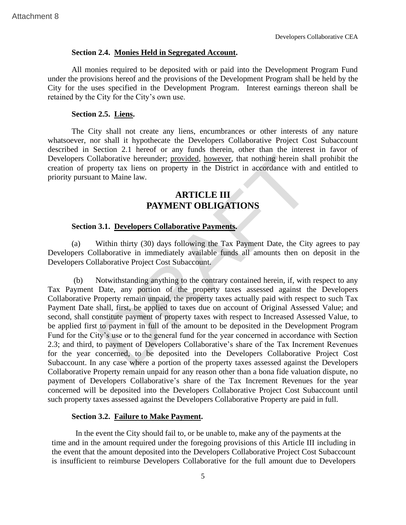# **Section 2.4. Monies Held in Segregated Account.**

All monies required to be deposited with or paid into the Development Program Fund under the provisions hereof and the provisions of the Development Program shall be held by the City for the uses specified in the Development Program. Interest earnings thereon shall be retained by the City for the City's own use.

# **Section 2.5. Liens.**

The City shall not create any liens, encumbrances or other interests of any nature whatsoever, nor shall it hypothecate the Developers Collaborative Project Cost Subaccount described in Section 2.1 hereof or any funds therein, other than the interest in favor of Developers Collaborative hereunder; provided, however, that nothing herein shall prohibit the creation of property tax liens on property in the District in accordance with and entitled to priority pursuant to Maine law.

# **ARTICLE III PAYMENT OBLIGATIONS**

# **Section 3.1. Developers Collaborative Payments.**

(a) Within thirty (30) days following the Tax Payment Date, the City agrees to pay Developers Collaborative in immediately available funds all amounts then on deposit in the Developers Collaborative Project Cost Subaccount.

(b) Notwithstanding anything to the contrary contained herein, if, with respect to any Tax Payment Date, any portion of the property taxes assessed against the Developers Collaborative Property remain unpaid, the property taxes actually paid with respect to such Tax Payment Date shall, first, be applied to taxes due on account of Original Assessed Value; and second, shall constitute payment of property taxes with respect to Increased Assessed Value, to be applied first to payment in full of the amount to be deposited in the Development Program Fund for the City's use or to the general fund for the year concerned in accordance with Section 2.3; and third, to payment of Developers Collaborative's share of the Tax Increment Revenues for the year concerned, to be deposited into the Developers Collaborative Project Cost Subaccount. In any case where a portion of the property taxes assessed against the Developers Collaborative Property remain unpaid for any reason other than a bona fide valuation dispute, no payment of Developers Collaborative's share of the Tax Increment Revenues for the year concerned will be deposited into the Developers Collaborative Project Cost Subaccount until such property taxes assessed against the Developers Collaborative Property are paid in full. Section 2.4. Monies Held in Segregated Account.<br>
Developes Concelarion<br>
2.4. Monies Held in Segregated Account.<br>
2.1 monies required to be deposited with or paid into the Development Program shall<br>
City for the uses speci

# **Section 3.2. Failure to Make Payment.**

In the event the City should fail to, or be unable to, make any of the payments at the time and in the amount required under the foregoing provisions of this Article III including in the event that the amount deposited into the Developers Collaborative Project Cost Subaccount is insufficient to reimburse Developers Collaborative for the full amount due to Developers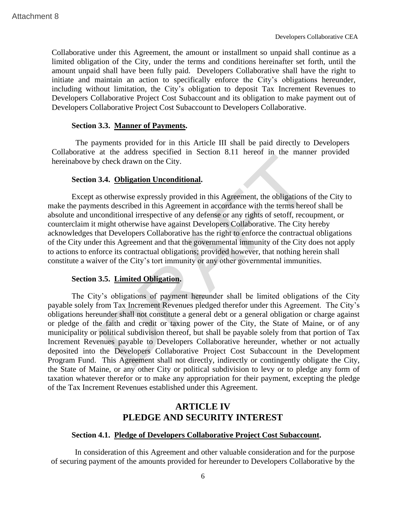Collaborative under this Agreement, the amount or installment so unpaid shall continue as a limited obligation of the City, under the terms and conditions hereinafter set forth, until the amount unpaid shall have been fully paid. Developers Collaborative shall have the right to initiate and maintain an action to specifically enforce the City's obligations hereunder, including without limitation, the City's obligation to deposit Tax Increment Revenues to Developers Collaborative Project Cost Subaccount and its obligation to make payment out of Developers Collaborative Project Cost Subaccount to Developers Collaborative.

# **Section 3.3. Manner of Payments.**

The payments provided for in this Article III shall be paid directly to Developers Collaborative at the address specified in Section 8.11 hereof in the manner provided hereinabove by check drawn on the City.

# **Section 3.4. Obligation Unconditional.**

Except as otherwise expressly provided in this Agreement, the obligations of the City to make the payments described in this Agreement in accordance with the terms hereof shall be absolute and unconditional irrespective of any defense or any rights of setoff, recoupment, or counterclaim it might otherwise have against Developers Collaborative. The City hereby acknowledges that Developers Collaborative has the right to enforce the contractual obligations of the City under this Agreement and that the governmental immunity of the City does not apply to actions to enforce its contractual obligations; provided however, that nothing herein shall constitute a waiver of the City's tort immunity or any other governmental immunities.

### **Section 3.5. Limited Obligation.**

The City's obligations of payment hereunder shall be limited obligations of the City payable solely from Tax Increment Revenues pledged therefor under this Agreement. The City's obligations hereunder shall not constitute a general debt or a general obligation or charge against or pledge of the faith and credit or taxing power of the City, the State of Maine, or of any municipality or political subdivision thereof, but shall be payable solely from that portion of Tax Increment Revenues payable to Developers Collaborative hereunder, whether or not actually deposited into the Developers Collaborative Project Cost Subaccount in the Development Program Fund. This Agreement shall not directly, indirectly or contingently obligate the City, the State of Maine, or any other City or political subdivision to levy or to pledge any form of taxation whatever therefor or to make any appropriation for their payment, excepting the pledge of the Tax Increment Revenues established under this Agreement. Collaborative under this Agreement, the amount or installment so unpead sale<br>
Therebyes Collaborative under this Agreement, the amount or installment so unpaid shall<br>
limited obligation of the City, under the terms and co

# **ARTICLE IV PLEDGE AND SECURITY INTEREST**

### **Section 4.1. Pledge of Developers Collaborative Project Cost Subaccount.**

In consideration of this Agreement and other valuable consideration and for the purpose of securing payment of the amounts provided for hereunder to Developers Collaborative by the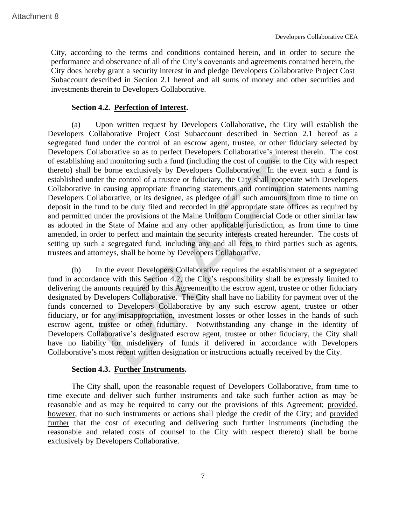City, according to the terms and conditions contained herein, and in order to secure the performance and observance of all of the City's covenants and agreements contained herein, the City does hereby grant a security interest in and pledge Developers Collaborative Project Cost Subaccount described in Section 2.1 hereof and all sums of money and other securities and investments therein to Developers Collaborative.

# **Section 4.2. Perfection of Interest.**

(a) Upon written request by Developers Collaborative, the City will establish the Developers Collaborative Project Cost Subaccount described in Section 2.1 hereof as a segregated fund under the control of an escrow agent, trustee, or other fiduciary selected by Developers Collaborative so as to perfect Developers Collaborative's interest therein. The cost of establishing and monitoring such a fund (including the cost of counsel to the City with respect thereto) shall be borne exclusively by Developers Collaborative. In the event such a fund is established under the control of a trustee or fiduciary, the City shall cooperate with Developers Collaborative in causing appropriate financing statements and continuation statements naming Developers Collaborative, or its designee, as pledgee of all such amounts from time to time on deposit in the fund to be duly filed and recorded in the appropriate state offices as required by and permitted under the provisions of the Maine Uniform Commercial Code or other similar law as adopted in the State of Maine and any other applicable jurisdiction, as from time to time amended, in order to perfect and maintain the security interests created hereunder. The costs of setting up such a segregated fund, including any and all fees to third parties such as agents, trustees and attorneys, shall be borne by Developers Collaborative. The<br>selection and the terms and conditions contained herein, and in order<br>performance and observance of all of the City's covenants and agreements contain<br>City does hereby gant as security interest in and pledge Developers

(b) In the event Developers Collaborative requires the establishment of a segregated fund in accordance with this Section 4.2, the City's responsibility shall be expressly limited to delivering the amounts required by this Agreement to the escrow agent, trustee or other fiduciary designated by Developers Collaborative. The City shall have no liability for payment over of the funds concerned to Developers Collaborative by any such escrow agent, trustee or other fiduciary, or for any misappropriation, investment losses or other losses in the hands of such escrow agent, trustee or other fiduciary. Notwithstanding any change in the identity of Developers Collaborative's designated escrow agent, trustee or other fiduciary, the City shall have no liability for misdelivery of funds if delivered in accordance with Developers Collaborative's most recent written designation or instructions actually received by the City.

# **Section 4.3. Further Instruments.**

The City shall, upon the reasonable request of Developers Collaborative, from time to time execute and deliver such further instruments and take such further action as may be reasonable and as may be required to carry out the provisions of this Agreement; provided, however, that no such instruments or actions shall pledge the credit of the City; and provided further that the cost of executing and delivering such further instruments (including the reasonable and related costs of counsel to the City with respect thereto) shall be borne exclusively by Developers Collaborative.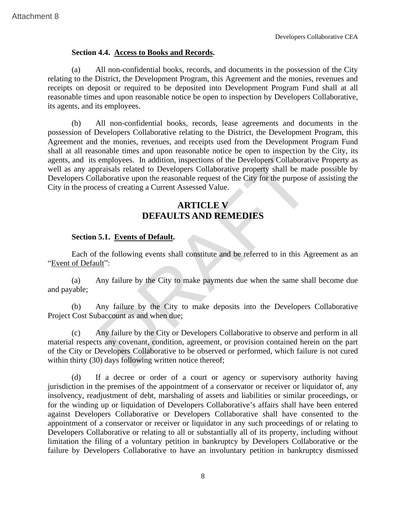# **Section 4.4. Access to Books and Records.**

(a) All non-confidential books, records, and documents in the possession of the City relating to the District, the Development Program, this Agreement and the monies, revenues and receipts on deposit or required to be deposited into Development Program Fund shall at all reasonable times and upon reasonable notice be open to inspection by Developers Collaborative, its agents, and its employees.

(b) All non-confidential books, records, lease agreements and documents in the possession of Developers Collaborative relating to the District, the Development Program, this Agreement and the monies, revenues, and receipts used from the Development Program Fund shall at all reasonable times and upon reasonable notice be open to inspection by the City, its agents, and its employees. In addition, inspections of the Developers Collaborative Property as well as any appraisals related to Developers Collaborative property shall be made possible by Developers Collaborative upon the reasonable request of the City for the purpose of assisting the City in the process of creating a Current Assessed Value. Section 4.4. Access to Books and Records.<br>
Developers Control (a) All non-confidential books, records, and documents in the possessi<br>
relating to the District, the Development Program, this Agreement and the monites<br>
reco

# **ARTICLE V DEFAULTS AND REMEDIES**

# **Section 5.1. Events of Default.**

Each of the following events shall constitute and be referred to in this Agreement as an "Event of Default":

(a) Any failure by the City to make payments due when the same shall become due and payable;

(b) Any failure by the City to make deposits into the Developers Collaborative Project Cost Subaccount as and when due;

(c) Any failure by the City or Developers Collaborative to observe and perform in all material respects any covenant, condition, agreement, or provision contained herein on the part of the City or Developers Collaborative to be observed or performed, which failure is not cured within thirty (30) days following written notice thereof;

(d) If a decree or order of a court or agency or supervisory authority having jurisdiction in the premises of the appointment of a conservator or receiver or liquidator of, any insolvency, readjustment of debt, marshaling of assets and liabilities or similar proceedings, or for the winding up or liquidation of Developers Collaborative's affairs shall have been entered against Developers Collaborative or Developers Collaborative shall have consented to the appointment of a conservator or receiver or liquidator in any such proceedings of or relating to Developers Collaborative or relating to all or substantially all of its property, including without limitation the filing of a voluntary petition in bankruptcy by Developers Collaborative or the failure by Developers Collaborative to have an involuntary petition in bankruptcy dismissed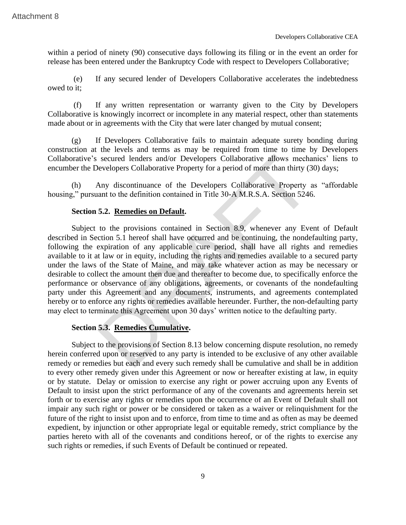within a period of ninety (90) consecutive days following its filing or in the event an order for release has been entered under the Bankruptcy Code with respect to Developers Collaborative;

(e) If any secured lender of Developers Collaborative accelerates the indebtedness owed to it;

(f) If any written representation or warranty given to the City by Developers Collaborative is knowingly incorrect or incomplete in any material respect, other than statements made about or in agreements with the City that were later changed by mutual consent;

(g) If Developers Collaborative fails to maintain adequate surety bonding during construction at the levels and terms as may be required from time to time by Developers Collaborative's secured lenders and/or Developers Collaborative allows mechanics' liens to encumber the Developers Collaborative Property for a period of more than thirty (30) days;

(h) Any discontinuance of the Developers Collaborative Property as "affordable housing," pursuant to the definition contained in Title 30-A M.R.S.A. Section 5246.

# **Section 5.2. Remedies on Default.**

Subject to the provisions contained in Section 8.9, whenever any Event of Default described in Section 5.1 hereof shall have occurred and be continuing, the nondefaulting party, following the expiration of any applicable cure period, shall have all rights and remedies available to it at law or in equity, including the rights and remedies available to a secured party under the laws of the State of Maine, and may take whatever action as may be necessary or desirable to collect the amount then due and thereafter to become due, to specifically enforce the performance or observance of any obligations, agreements, or covenants of the nondefaulting party under this Agreement and any documents, instruments, and agreements contemplated hereby or to enforce any rights or remedies available hereunder. Further, the non-defaulting party may elect to terminate this Agreement upon 30 days' written notice to the defaulting party. These<br>by These pays to the State of the State of the State of the State of the State of the Conduction<br>
The and the conduct the Burkerington of the CH and the CH and the CH and the CH and the CH and the CH and the CH and t

# **Section 5.3. Remedies Cumulative.**

Subject to the provisions of Section 8.13 below concerning dispute resolution, no remedy herein conferred upon or reserved to any party is intended to be exclusive of any other available remedy or remedies but each and every such remedy shall be cumulative and shall be in addition to every other remedy given under this Agreement or now or hereafter existing at law, in equity or by statute. Delay or omission to exercise any right or power accruing upon any Events of Default to insist upon the strict performance of any of the covenants and agreements herein set forth or to exercise any rights or remedies upon the occurrence of an Event of Default shall not impair any such right or power or be considered or taken as a waiver or relinquishment for the future of the right to insist upon and to enforce, from time to time and as often as may be deemed expedient, by injunction or other appropriate legal or equitable remedy, strict compliance by the parties hereto with all of the covenants and conditions hereof, or of the rights to exercise any such rights or remedies, if such Events of Default be continued or repeated.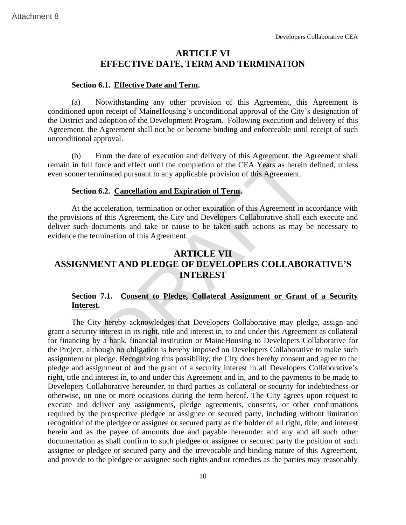# **ARTICLE VI EFFECTIVE DATE, TERM AND TERMINATION**

### **Section 6.1. Effective Date and Term.**

(a) Notwithstanding any other provision of this Agreement, this Agreement is conditioned upon receipt of MaineHousing's unconditional approval of the City's designation of the District and adoption of the Development Program. Following execution and delivery of this Agreement, the Agreement shall not be or become binding and enforceable until receipt of such unconditional approval.

(b) From the date of execution and delivery of this Agreement, the Agreement shall remain in full force and effect until the completion of the CEA Years as herein defined, unless even sooner terminated pursuant to any applicable provision of this Agreement.

### **Section 6.2. Cancellation and Expiration of Term.**

At the acceleration, termination or other expiration of this Agreement in accordance with the provisions of this Agreement, the City and Developers Collaborative shall each execute and deliver such documents and take or cause to be taken such actions as may be necessary to evidence the termination of this Agreement.

# **ARTICLE VII ASSIGNMENT AND PLEDGE OF DEVELOPERS COLLABORATIVE'S INTEREST**

# **Section 7.1. Consent to Pledge, Collateral Assignment or Grant of a Security Interest.**

The City hereby acknowledges that Developers Collaborative may pledge, assign and grant a security interest in its right, title and interest in, to and under this Agreement as collateral for financing by a bank, financial institution or MaineHousing to Developers Collaborative for the Project, although no obligation is hereby imposed on Developers Collaborative to make such assignment or pledge. Recognizing this possibility, the City does hereby consent and agree to the pledge and assignment of and the grant of a security interest in all Developers Collaborative's right, title and interest in, to and under this Agreement and in, and to the payments to be made to Developers Collaborative hereunder, to third parties as collateral or security for indebtedness or otherwise, on one or more occasions during the term hereof. The City agrees upon request to execute and deliver any assignments, pledge agreements, consents, or other confirmations required by the prospective pledgee or assignee or secured party, including without limitation recognition of the pledgee or assignee or secured party as the holder of all right, title, and interest herein and as the payee of amounts due and payable hereunder and any and all such other documentation as shall confirm to such pledgee or assignee or secured party the position of such assignee or pledgee or secured party and the irrevocable and binding nature of this Agreement, and provide to the pledgee or assignee such rights and/or remedies as the parties may reasonably Developses Controllers (Developses Controllers (Developses Controllers (2014)<br>
Developses Critical Controllers (Developse Critical Controllers (Developse Critical Controllers (Developse Critical Controllers (Developse Crit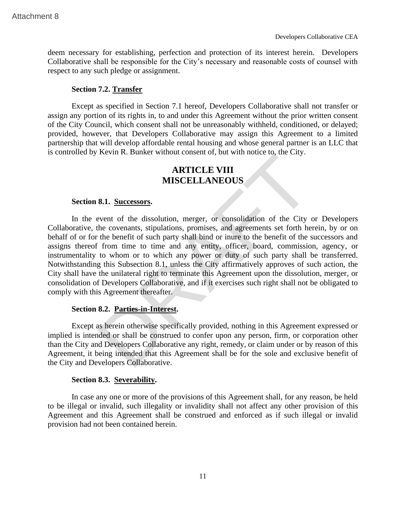deem necessary for establishing, perfection and protection of its interest herein. Developers Collaborative shall be responsible for the City's necessary and reasonable costs of counsel with respect to any such pledge or assignment.

# **Section 7.2. Transfer**

Except as specified in Section 7.1 hereof, Developers Collaborative shall not transfer or assign any portion of its rights in, to and under this Agreement without the prior written consent of the City Council, which consent shall not be unreasonably withheld, conditioned, or delayed; provided, however, that Developers Collaborative may assign this Agreement to a limited partnership that will develop affordable rental housing and whose general partner is an LLC that is controlled by Kevin R. Bunker without consent of, but with notice to, the City.

# **ARTICLE VIII MISCELLANEOUS**

### **Section 8.1. Successors.**

In the event of the dissolution, merger, or consolidation of the City or Developers Collaborative, the covenants, stipulations, promises, and agreements set forth herein, by or on behalf of or for the benefit of such party shall bind or inure to the benefit of the successors and assigns thereof from time to time and any entity, officer, board, commission, agency, or instrumentality to whom or to which any power or duty of such party shall be transferred. Notwithstanding this Subsection 8.1, unless the City affirmatively approves of such action, the City shall have the unilateral right to terminate this Agreement upon the dissolution, merger, or consolidation of Developers Collaborative, and if it exercises such right shall not be obligated to comply with this Agreement thereafter. The selection and protection and protection of its interest lends<br>Collaborative shall be responsible for the City's necessary and reasonable costs of<br>Collaborative shall be responsible for the City's necessary and reasonab

# **Section 8.2. Parties-in-Interest.**

Except as herein otherwise specifically provided, nothing in this Agreement expressed or implied is intended or shall be construed to confer upon any person, firm, or corporation other than the City and Developers Collaborative any right, remedy, or claim under or by reason of this Agreement, it being intended that this Agreement shall be for the sole and exclusive benefit of the City and Developers Collaborative.

### **Section 8.3. Severability.**

In case any one or more of the provisions of this Agreement shall, for any reason, be held to be illegal or invalid, such illegality or invalidity shall not affect any other provision of this Agreement and this Agreement shall be construed and enforced as if such illegal or invalid provision had not been contained herein.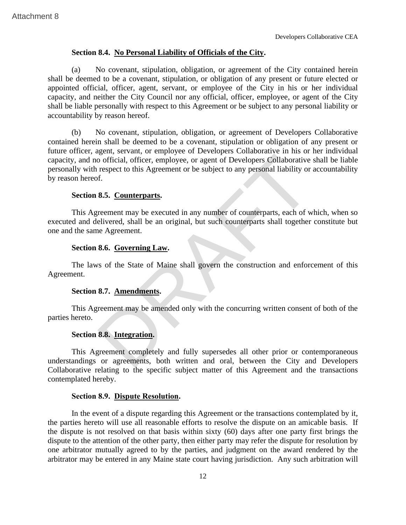# **Section 8.4. No Personal Liability of Officials of the City.**

(a) No covenant, stipulation, obligation, or agreement of the City contained herein shall be deemed to be a covenant, stipulation, or obligation of any present or future elected or appointed official, officer, agent, servant, or employee of the City in his or her individual capacity, and neither the City Council nor any official, officer, employee, or agent of the City shall be liable personally with respect to this Agreement or be subject to any personal liability or accountability by reason hereof.

(b) No covenant, stipulation, obligation, or agreement of Developers Collaborative contained herein shall be deemed to be a covenant, stipulation or obligation of any present or future officer, agent, servant, or employee of Developers Collaborative in his or her individual capacity, and no official, officer, employee, or agent of Developers Collaborative shall be liable personally with respect to this Agreement or be subject to any personal liability or accountability by reason hereof. Section 8.4. No Personal Liability of Officials of the City<br>Developes Controllectors (a) No coverant, stipulation, or obligation or agreement of the City controllect of the City controllect in change of the City Controllec

# **Section 8.5. Counterparts.**

This Agreement may be executed in any number of counterparts, each of which, when so executed and delivered, shall be an original, but such counterparts shall together constitute but one and the same Agreement.

# **Section 8.6. Governing Law.**

The laws of the State of Maine shall govern the construction and enforcement of this Agreement.

# **Section 8.7. Amendments.**

This Agreement may be amended only with the concurring written consent of both of the parties hereto.

# **Section 8.8. Integration.**

This Agreement completely and fully supersedes all other prior or contemporaneous understandings or agreements, both written and oral, between the City and Developers Collaborative relating to the specific subject matter of this Agreement and the transactions contemplated hereby.

# **Section 8.9. Dispute Resolution.**

In the event of a dispute regarding this Agreement or the transactions contemplated by it, the parties hereto will use all reasonable efforts to resolve the dispute on an amicable basis. If the dispute is not resolved on that basis within sixty (60) days after one party first brings the dispute to the attention of the other party, then either party may refer the dispute for resolution by one arbitrator mutually agreed to by the parties, and judgment on the award rendered by the arbitrator may be entered in any Maine state court having jurisdiction. Any such arbitration will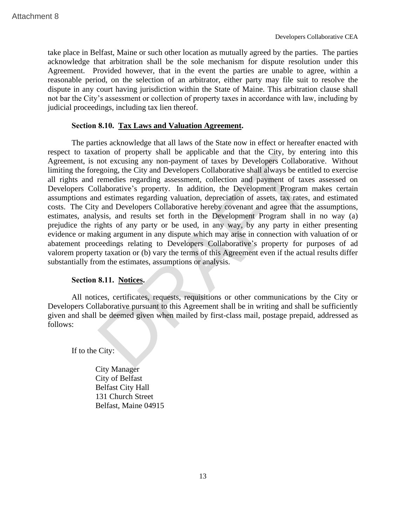take place in Belfast, Maine or such other location as mutually agreed by the parties. The parties acknowledge that arbitration shall be the sole mechanism for dispute resolution under this Agreement. Provided however, that in the event the parties are unable to agree, within a reasonable period, on the selection of an arbitrator, either party may file suit to resolve the dispute in any court having jurisdiction within the State of Maine. This arbitration clause shall not bar the City's assessment or collection of property taxes in accordance with law, including by judicial proceedings, including tax lien thereof.

# **Section 8.10. Tax Laws and Valuation Agreement.**

The parties acknowledge that all laws of the State now in effect or hereafter enacted with respect to taxation of property shall be applicable and that the City, by entering into this Agreement, is not excusing any non-payment of taxes by Developers Collaborative. Without limiting the foregoing, the City and Developers Collaborative shall always be entitled to exercise all rights and remedies regarding assessment, collection and payment of taxes assessed on Developers Collaborative's property. In addition, the Development Program makes certain assumptions and estimates regarding valuation, depreciation of assets, tax rates, and estimated costs. The City and Developers Collaborative hereby covenant and agree that the assumptions, estimates, analysis, and results set forth in the Development Program shall in no way (a) prejudice the rights of any party or be used, in any way, by any party in either presenting evidence or making argument in any dispute which may arise in connection with valuation of or abatement proceedings relating to Developers Collaborative's property for purposes of ad valorem property taxation or (b) vary the terms of this Agreement even if the actual results differ substantially from the estimates, assumptions or analysis. Attachment 8<br>
Theselyers.<br>
Theselyers and the mediation simulation as mutually agreed by the particular<br>
acknowledge that arbitration shall be the sole mechanism for dispute resoluti<br>
Agreement. Provided however, that in

# **Section 8.11. Notices.**

All notices, certificates, requests, requisitions or other communications by the City or Developers Collaborative pursuant to this Agreement shall be in writing and shall be sufficiently given and shall be deemed given when mailed by first-class mail, postage prepaid, addressed as follows:

If to the City:

City Manager City of Belfast Belfast City Hall 131 Church Street Belfast, Maine 04915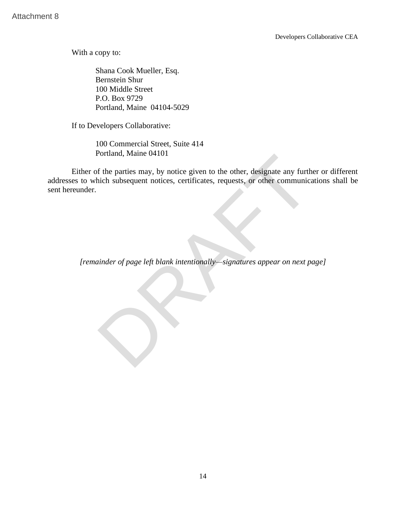Developers Collaborative CEA

With a copy to:

Shana Cook Mueller, Esq. Bernstein Shur 100 Middle Street P.O. Box 9729 Portland, Maine 04104-5029

If to Developers Collaborative:

100 Commercial Street, Suite 414 Portland, Maine 04101

Either of the parties may, by notice given to the other, designate any further or different addresses to which subsequent notices, certificates, requests, or other communications shall be sent hereunder. Ntachment 8<br>
With a copy to:<br>
Shana Cook Mueller, Exq.<br>
Bernstein Shur<br>
100 Middle Street<br>
DRAFTATE 100 Middle Street<br>
P.O. Box 9729<br>
P.O. No. 8729<br>
If to Developers Collaborative:<br>
The Developers Collaborative:<br>
100 Comme

*[remainder of page left blank intentionally—signatures appear on next page]*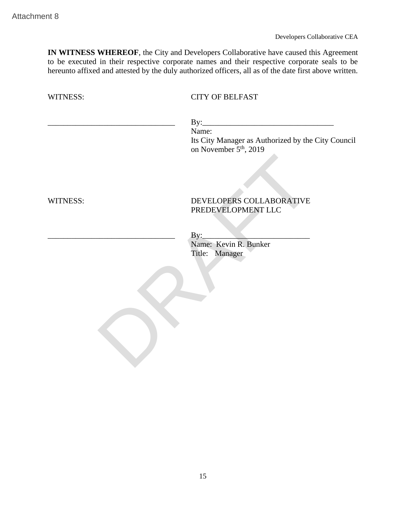|          | Developers Collaborative CEA<br>IN WITNESS WHEREOF, the City and Developers Collaborative have caused this Agreement<br>to be executed in their respective corporate names and their respective corporate seals to be |
|----------|-----------------------------------------------------------------------------------------------------------------------------------------------------------------------------------------------------------------------|
|          | hereunto affixed and attested by the duly authorized officers, all as of the date first above written.                                                                                                                |
| WITNESS: | <b>CITY OF BELFAST</b>                                                                                                                                                                                                |
|          |                                                                                                                                                                                                                       |
|          | Name:<br>Its City Manager as Authorized by the City Council<br>on November 5 <sup>th</sup> , 2019                                                                                                                     |
| WITNESS: | DEVELOPERS COLLABORATIVE<br>PREDEVELOPMENT LLC                                                                                                                                                                        |
|          | $\mathbf{By:}$                                                                                                                                                                                                        |
|          | Name: Kevin R. Bunker<br>Title: Manager                                                                                                                                                                               |
|          |                                                                                                                                                                                                                       |
|          |                                                                                                                                                                                                                       |
|          |                                                                                                                                                                                                                       |
|          |                                                                                                                                                                                                                       |
|          |                                                                                                                                                                                                                       |
|          |                                                                                                                                                                                                                       |
|          |                                                                                                                                                                                                                       |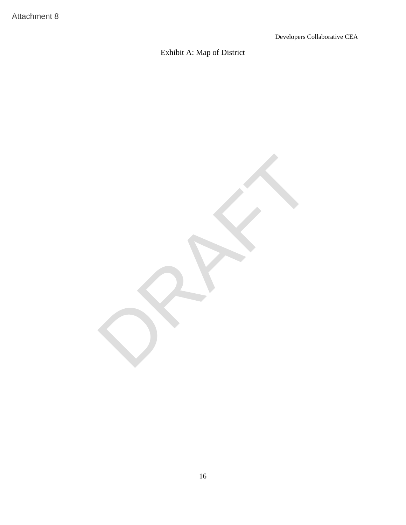# Exhibit A: Map of District

Attachment 8<br>Exhibit A: Map of District<br>Contact District